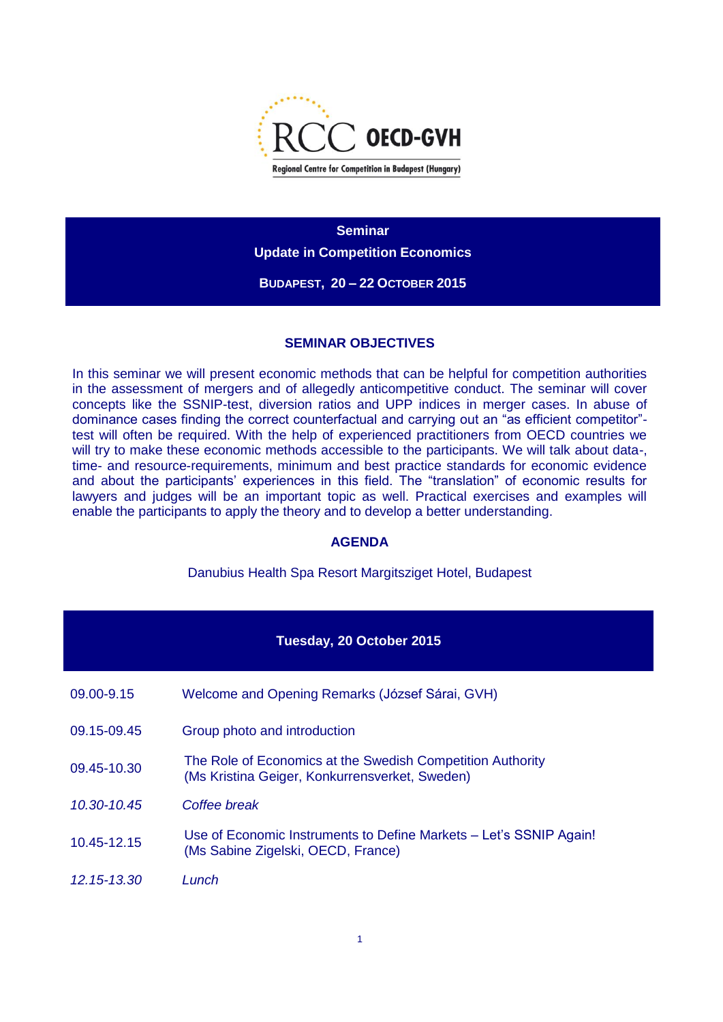

**Seminar Update in Competition Economics BUDAPEST, 20 – 22 OCTOBER 2015**

## **SEMINAR OBJECTIVES**

In this seminar we will present economic methods that can be helpful for competition authorities in the assessment of mergers and of allegedly anticompetitive conduct. The seminar will cover concepts like the SSNIP-test, diversion ratios and UPP indices in merger cases. In abuse of dominance cases finding the correct counterfactual and carrying out an "as efficient competitor" test will often be required. With the help of experienced practitioners from OECD countries we will try to make these economic methods accessible to the participants. We will talk about data-, time- and resource-requirements, minimum and best practice standards for economic evidence and about the participants' experiences in this field. The "translation" of economic results for lawyers and judges will be an important topic as well. Practical exercises and examples will enable the participants to apply the theory and to develop a better understanding.

## **AGENDA**

Danubius Health Spa Resort Margitsziget Hotel, Budapest

| Tuesday, 20 October 2015 |                                                                                                              |  |
|--------------------------|--------------------------------------------------------------------------------------------------------------|--|
| 09.00-9.15               | Welcome and Opening Remarks (József Sárai, GVH)                                                              |  |
| 09.15-09.45              | Group photo and introduction                                                                                 |  |
| 09.45-10.30              | The Role of Economics at the Swedish Competition Authority<br>(Ms Kristina Geiger, Konkurrensverket, Sweden) |  |
| 10.30-10.45              | Coffee break                                                                                                 |  |
| 10.45-12.15              | Use of Economic Instruments to Define Markets – Let's SSNIP Again!<br>(Ms Sabine Zigelski, OECD, France)     |  |
| 12.15-13.30              | Lunch                                                                                                        |  |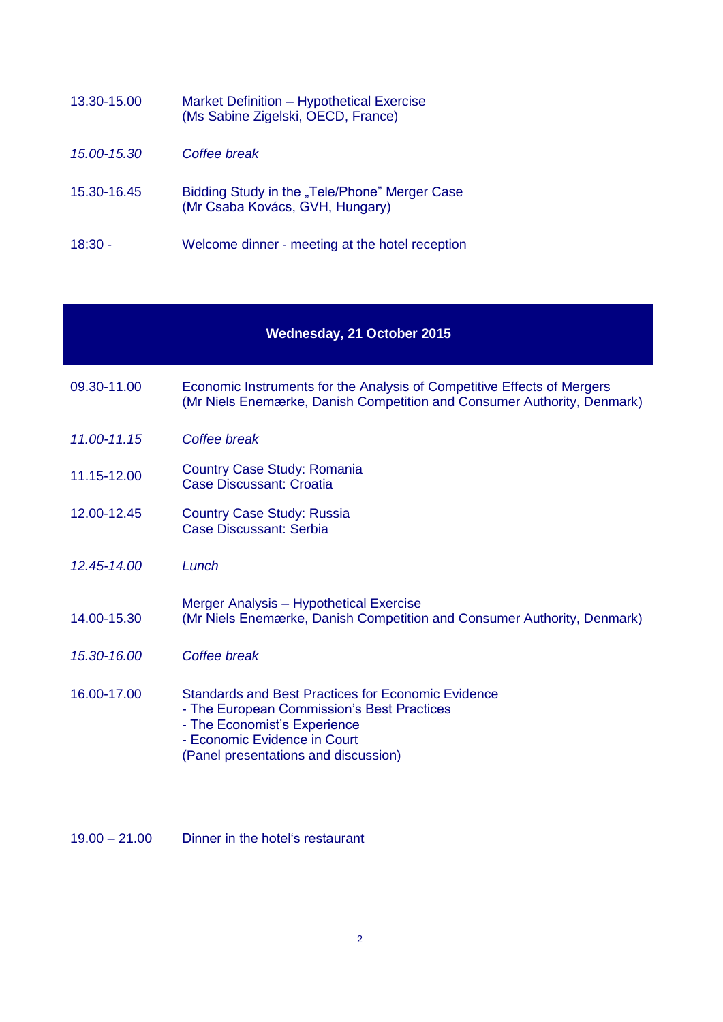| 13.30-15.00 | Market Definition - Hypothetical Exercise<br>(Ms Sabine Zigelski, OECD, France)  |
|-------------|----------------------------------------------------------------------------------|
| 15.00-15.30 | Coffee break                                                                     |
| 15.30-16.45 | Bidding Study in the "Tele/Phone" Merger Case<br>(Mr Csaba Kovács, GVH, Hungary) |
| $18:30 -$   | Welcome dinner - meeting at the hotel reception                                  |

## **Wednesday, 21 October 2015**

- 09.30-11.00 Economic Instruments for the Analysis of Competitive Effects of Mergers (Mr Niels Enemærke, Danish Competition and Consumer Authority, Denmark)
- *11.00-11.15 Coffee break*
- 11.15-12.00 Country Case Study: Romania Case Discussant: Croatia
- 12.00-12.45 Country Case Study: Russia Case Discussant: Serbia
- *12.45-14.00 Lunch*

## 14.00-15.30 Merger Analysis – Hypothetical Exercise (Mr Niels Enemærke, Danish Competition and Consumer Authority, Denmark)

- *15.30-16.00 Coffee break*
- 16.00-17.00 Standards and Best Practices for Economic Evidence - The European Commission's Best Practices - The Economist's Experience
	- Economic Evidence in Court
	- (Panel presentations and discussion)
- 19.00 21.00 Dinner in the hotel's restaurant